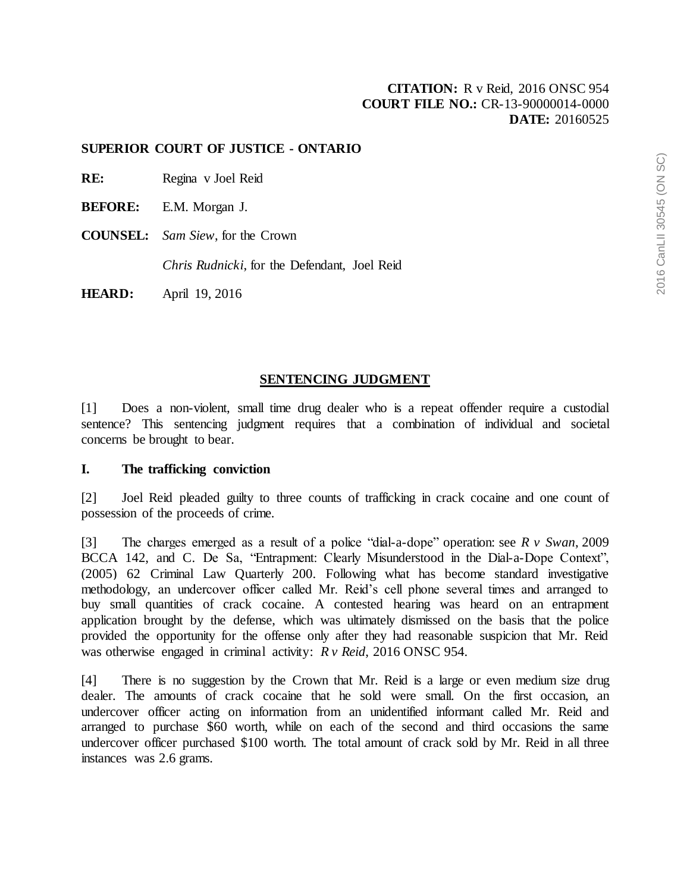# **[CITATION:](http://intra.judicialsecurity.jus.gov.on.ca/NeutralCitation/)** R v Reid, 2016 ONSC 954 **COURT FILE NO.:** CR-13-90000014-0000 **DATE:** 20160525

#### **SUPERIOR COURT OF JUSTICE - ONTARIO**

- **RE:** Regina v Joel Reid
- **BEFORE:** E.M. Morgan J.
- **COUNSEL:** *Sam Siew*, for the Crown

*Chris Rudnicki*, for the Defendant, Joel Reid

**HEARD:** April 19, 2016

#### **SENTENCING JUDGMENT**

[1] Does a non-violent, small time drug dealer who is a repeat offender require a custodial sentence? This sentencing judgment requires that a combination of individual and societal concerns be brought to bear.

#### **I. The trafficking conviction**

[2] Joel Reid pleaded guilty to three counts of trafficking in crack cocaine and one count of possession of the proceeds of crime.

[3] The charges emerged as a result of a police "dial-a-dope" operation: see *R v Swan*, 2009 BCCA 142, and C. De Sa, "Entrapment: Clearly Misunderstood in the Dial-a-Dope Context", (2005) 62 Criminal Law Quarterly 200. Following what has become standard investigative methodology, an undercover officer called Mr. Reid's cell phone several times and arranged to buy small quantities of crack cocaine. A contested hearing was heard on an entrapment application brought by the defense, which was ultimately dismissed on the basis that the police provided the opportunity for the offense only after they had reasonable suspicion that Mr. Reid was otherwise engaged in criminal activity: *R v Reid*, 2016 ONSC 954.

[4] There is no suggestion by the Crown that Mr. Reid is a large or even medium size drug dealer. The amounts of crack cocaine that he sold were small. On the first occasion, an undercover officer acting on information from an unidentified informant called Mr. Reid and arranged to purchase \$60 worth, while on each of the second and third occasions the same undercover officer purchased \$100 worth. The total amount of crack sold by Mr. Reid in all three instances was 2.6 grams.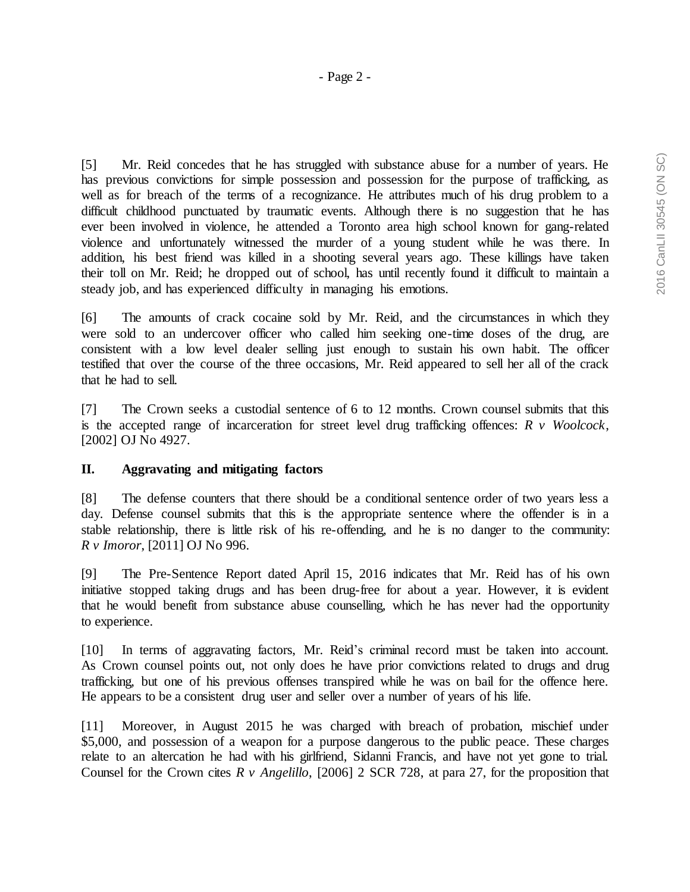[5] Mr. Reid concedes that he has struggled with substance abuse for a number of years. He has previous convictions for simple possession and possession for the purpose of trafficking, as well as for breach of the terms of a recognizance. He attributes much of his drug problem to a difficult childhood punctuated by traumatic events. Although there is no suggestion that he has ever been involved in violence, he attended a Toronto area high school known for gang-related violence and unfortunately witnessed the murder of a young student while he was there. In addition, his best friend was killed in a shooting several years ago. These killings have taken their toll on Mr. Reid; he dropped out of school, has until recently found it difficult to maintain a steady job, and has experienced difficulty in managing his emotions.

[6] The amounts of crack cocaine sold by Mr. Reid, and the circumstances in which they were sold to an undercover officer who called him seeking one-time doses of the drug, are consistent with a low level dealer selling just enough to sustain his own habit. The officer testified that over the course of the three occasions, Mr. Reid appeared to sell her all of the crack that he had to sell.

[7] The Crown seeks a custodial sentence of 6 to 12 months. Crown counsel submits that this is the accepted range of incarceration for street level drug trafficking offences: *R v Woolcock*, [2002] OJ No 4927.

## **II. Aggravating and mitigating factors**

[8] The defense counters that there should be a conditional sentence order of two years less a day. Defense counsel submits that this is the appropriate sentence where the offender is in a stable relationship, there is little risk of his re-offending, and he is no danger to the community: *R v Imoror*, [2011] OJ No 996.

[9] The Pre-Sentence Report dated April 15, 2016 indicates that Mr. Reid has of his own initiative stopped taking drugs and has been drug-free for about a year. However, it is evident that he would benefit from substance abuse counselling, which he has never had the opportunity to experience.

[10] In terms of aggravating factors, Mr. Reid's criminal record must be taken into account. As Crown counsel points out, not only does he have prior convictions related to drugs and drug trafficking, but one of his previous offenses transpired while he was on bail for the offence here. He appears to be a consistent drug user and seller over a number of years of his life.

[11] Moreover, in August 2015 he was charged with breach of probation, mischief under \$5,000, and possession of a weapon for a purpose dangerous to the public peace. These charges relate to an altercation he had with his girlfriend, Sidanni Francis, and have not yet gone to trial. Counsel for the Crown cites *R v Angelillo*, [2006] 2 SCR 728, at para 27, for the proposition that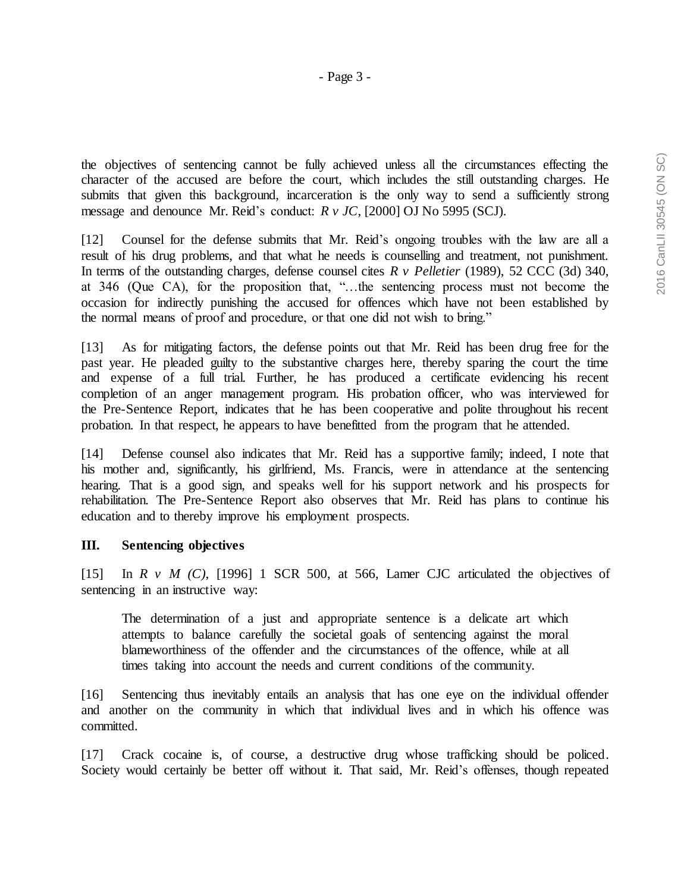the objectives of sentencing cannot be fully achieved unless all the circumstances effecting the character of the accused are before the court, which includes the still outstanding charges. He submits that given this background, incarceration is the only way to send a sufficiently strong message and denounce Mr. Reid's conduct: *R v JC*, [2000] OJ No 5995 (SCJ).

[12] Counsel for the defense submits that Mr. Reid's ongoing troubles with the law are all a result of his drug problems, and that what he needs is counselling and treatment, not punishment. In terms of the outstanding charges, defense counsel cites *R v Pelletier* (1989), 52 CCC (3d) 340, at 346 (Que CA), for the proposition that, "…the sentencing process must not become the occasion for indirectly punishing the accused for offences which have not been established by the normal means of proof and procedure, or that one did not wish to bring."

[13] As for mitigating factors, the defense points out that Mr. Reid has been drug free for the past year. He pleaded guilty to the substantive charges here, thereby sparing the court the time and expense of a full trial. Further, he has produced a certificate evidencing his recent completion of an anger management program. His probation officer, who was interviewed for the Pre-Sentence Report, indicates that he has been cooperative and polite throughout his recent probation. In that respect, he appears to have benefitted from the program that he attended.

[14] Defense counsel also indicates that Mr. Reid has a supportive family; indeed, I note that his mother and, significantly, his girlfriend, Ms. Francis, were in attendance at the sentencing hearing. That is a good sign, and speaks well for his support network and his prospects for rehabilitation. The Pre-Sentence Report also observes that Mr. Reid has plans to continue his education and to thereby improve his employment prospects.

## **III. Sentencing objectives**

[15] In *R v M (C)*, [1996] 1 SCR 500, at 566, Lamer CJC articulated the objectives of sentencing in an instructive way:

The determination of a just and appropriate sentence is a delicate art which attempts to balance carefully the societal goals of sentencing against the moral blameworthiness of the offender and the circumstances of the offence, while at all times taking into account the needs and current conditions of the community.

[16] Sentencing thus inevitably entails an analysis that has one eye on the individual offender and another on the community in which that individual lives and in which his offence was committed.

[17] Crack cocaine is, of course, a destructive drug whose trafficking should be policed. Society would certainly be better off without it. That said, Mr. Reid's offenses, though repeated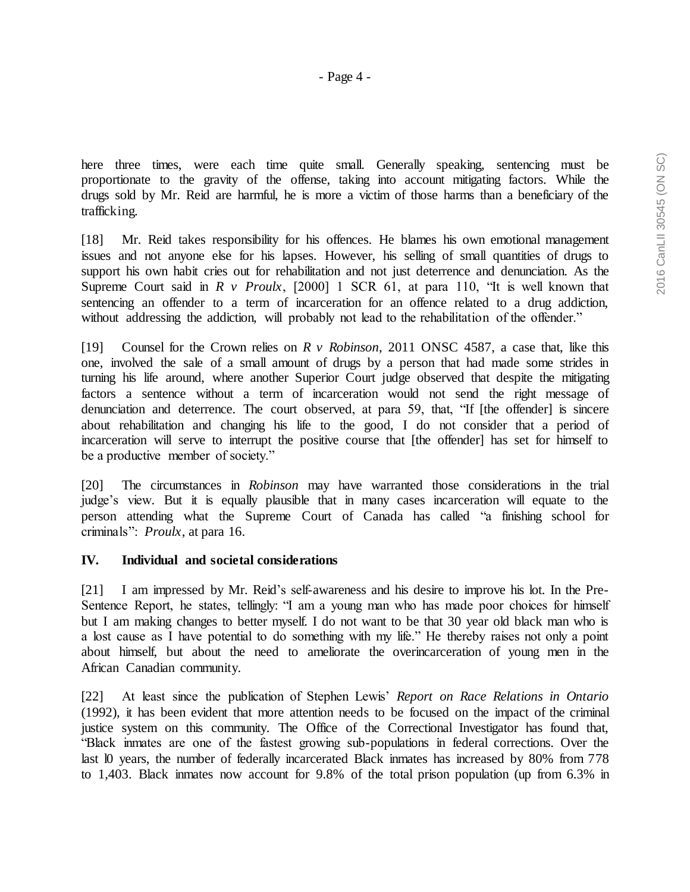here three times, were each time quite small. Generally speaking, sentencing must be proportionate to the gravity of the offense, taking into account mitigating factors. While the drugs sold by Mr. Reid are harmful, he is more a victim of those harms than a beneficiary of the trafficking.

[18] Mr. Reid takes responsibility for his offences. He blames his own emotional management issues and not anyone else for his lapses. However, his selling of small quantities of drugs to support his own habit cries out for rehabilitation and not just deterrence and denunciation. As the Supreme Court said in *R v Proulx*, [2000] 1 SCR 61, at para 110, "It is well known that sentencing an offender to a term of incarceration for an offence related to a drug addiction, without addressing the addiction, will probably not lead to the rehabilitation of the offender."

[19] Counsel for the Crown relies on *R v Robinson*, 2011 ONSC 4587, a case that, like this one, involved the sale of a small amount of drugs by a person that had made some strides in turning his life around, where another Superior Court judge observed that despite the mitigating factors a sentence without a term of incarceration would not send the right message of denunciation and deterrence. The court observed, at para 59, that, "If [the offender] is sincere about rehabilitation and changing his life to the good, I do not consider that a period of incarceration will serve to interrupt the positive course that [the offender] has set for himself to be a productive member of society."

[20] The circumstances in *Robinson* may have warranted those considerations in the trial judge's view. But it is equally plausible that in many cases incarceration will equate to the person attending what the Supreme Court of Canada has called "a finishing school for criminals": *Proulx*, at para 16.

## **IV. Individual and societal considerations**

[21] I am impressed by Mr. Reid's self-awareness and his desire to improve his lot. In the Pre-Sentence Report, he states, tellingly: "I am a young man who has made poor choices for himself but I am making changes to better myself. I do not want to be that 30 year old black man who is a lost cause as I have potential to do something with my life." He thereby raises not only a point about himself, but about the need to ameliorate the overincarceration of young men in the African Canadian community.

[22] At least since the publication of Stephen Lewis' *Report on Race Relations in Ontario* (1992), it has been evident that more attention needs to be focused on the impact of the criminal justice system on this community. The Office of the Correctional Investigator has found that, "Black inmates are one of the fastest growing sub-populations in federal corrections. Over the last l0 years, the number of federally incarcerated Black inmates has increased by 80% from 778 to 1,403. Black inmates now account for 9.8% of the total prison population (up from 6.3% in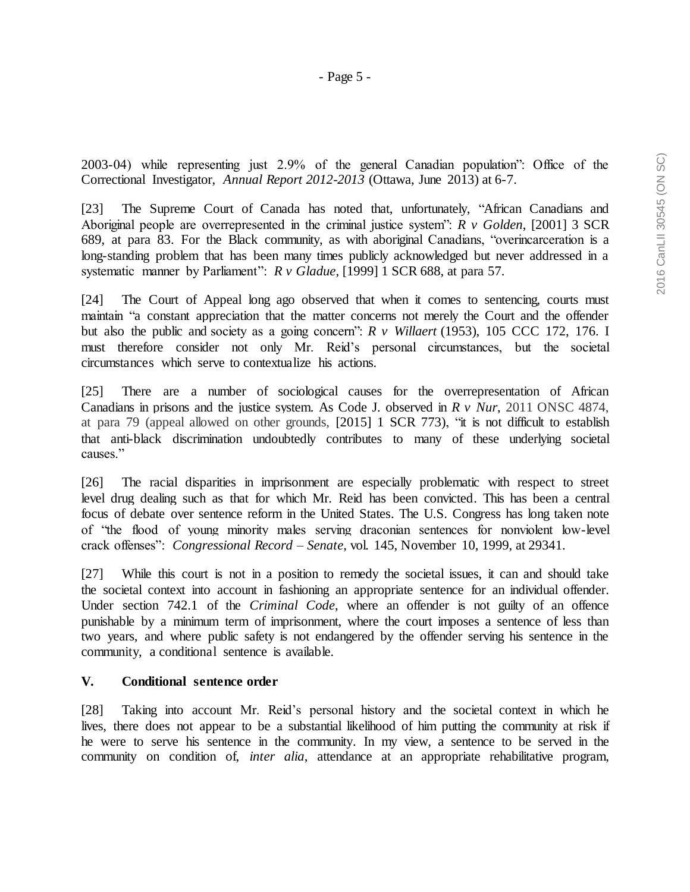2003-04) while representing just 2.9% of the general Canadian population": Office of the Correctional Investigator, *Annual Report 2012-2013* (Ottawa, June 2013) at 6-7.

[23] The Supreme Court of Canada has noted that, unfortunately, "African Canadians and Aboriginal people are overrepresented in the criminal justice system": *R v Golden*, [2001] 3 SCR 689, at para 83. For the Black community, as with aboriginal Canadians, "overincarceration is a long-standing problem that has been many times publicly acknowledged but never addressed in a systematic manner by Parliament": *R v Gladue*, [1999] 1 SCR 688, at para 57.

[24] The Court of Appeal long ago observed that when it comes to sentencing, courts must maintain "a constant appreciation that the matter concerns not merely the Court and the offender but also the public and society as a going concern": *R v Willaert* (1953), 105 CCC 172, 176. I must therefore consider not only Mr. Reid's personal circumstances, but the societal circumstances which serve to contextualize his actions.

[25] There are a number of sociological causes for the overrepresentation of African Canadians in prisons and the justice system. As Code J. observed in *R v Nur*, 2011 ONSC 4874, at para 79 (appeal allowed on other grounds, [2015] 1 SCR 773), "it is not difficult to establish that anti-black discrimination undoubtedly contributes to many of these underlying societal causes."

[26] The racial disparities in imprisonment are especially problematic with respect to street level drug dealing such as that for which Mr. Reid has been convicted. This has been a central focus of debate over sentence reform in the United States. The U.S. Congress has long taken note of "the flood of young minority males serving draconian sentences for nonviolent low-level crack offenses": *Congressional Record – Senate*, vol. 145, November 10, 1999, at 29341.

[27] While this court is not in a position to remedy the societal issues, it can and should take the societal context into account in fashioning an appropriate sentence for an individual offender. Under section 742.1 of the *Criminal Code*, where an offender is not guilty of an offence punishable by a minimum term of imprisonment, where the court imposes a sentence of less than two years, and where public safety is not endangered by the offender serving his sentence in the community, a conditional sentence is available.

# **V. Conditional sentence order**

[28] Taking into account Mr. Reid's personal history and the societal context in which he lives, there does not appear to be a substantial likelihood of him putting the community at risk if he were to serve his sentence in the community. In my view, a sentence to be served in the community on condition of, *inter alia*, attendance at an appropriate rehabilitative program,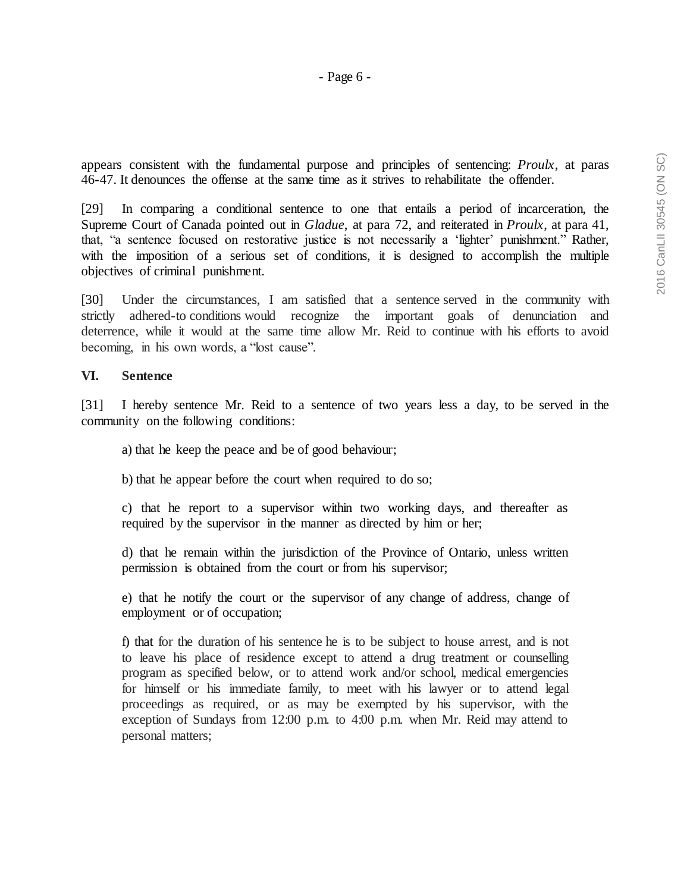appears consistent with the fundamental purpose and principles of sentencing: *Proulx*, at paras 46-47. It denounces the offense at the same time as it strives to rehabilitate the offender.

[29] In comparing a conditional sentence to one that entails a period of incarceration, the Supreme Court of Canada pointed out in *Gladue*, at para 72, and reiterated in *Proulx*, at para 41, that, "a sentence focused on restorative justice is not necessarily a 'lighter' punishment." Rather, with the imposition of a serious set of conditions, it is designed to accomplish the multiple objectives of criminal punishment.

[30] Under the circumstances, I am satisfied that a sentence served in the community with strictly adhered-to conditions would recognize the important goals of denunciation and deterrence, while it would at the same time allow Mr. Reid to continue with his efforts to avoid becoming, in his own words, a "lost cause".

## **VI. Sentence**

[31] I hereby sentence Mr. Reid to a sentence of two years less a day, to be served in the community on the following conditions:

a) that he keep the peace and be of good behaviour;

b) that he appear before the court when required to do so;

c) that he report to a supervisor within two working days, and thereafter as required by the supervisor in the manner as directed by him or her;

d) that he remain within the jurisdiction of the Province of Ontario, unless written permission is obtained from the court or from his supervisor;

e) that he notify the court or the supervisor of any change of address, change of employment or of occupation;

f) that for the duration of his sentence he is to be subject to house arrest, and is not to leave his place of residence except to attend a drug treatment or counselling program as specified below, or to attend work and/or school, medical emergencies for himself or his immediate family, to meet with his lawyer or to attend legal proceedings as required, or as may be exempted by his supervisor, with the exception of Sundays from 12:00 p.m. to 4:00 p.m. when Mr. Reid may attend to personal matters;